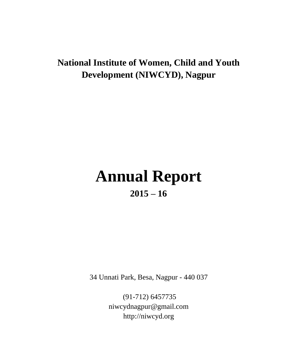# **National Institute of Women, Child and Youth Development (NIWCYD), Nagpur**

# **Annual Report 2015 – 16**

34 Unnati Park, Besa, Nagpur - 440 037

(91-712) 6457735 [niwcydnagpur@gmail.com](mailto:niwcydnagpur@gmail.com) http://niwcyd.org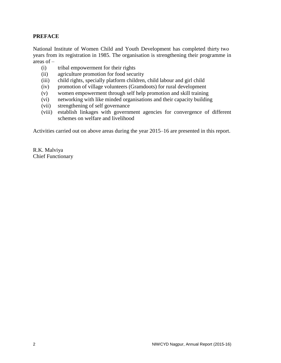# **PREFACE**

National Institute of Women Child and Youth Development has completed thirty two years from its registration in 1985. The organisation is strengthening their programme in areas of –

- (i) tribal empowerment for their rights
- (ii) agriculture promotion for food security
- (iii) child rights, specially platform children, child labour and girl child
- (iv) promotion of village volunteers (Gramdoots) for rural development
- (v) women empowerment through self help promotion and skill training
- (vi) networking with like minded organisations and their capacity building
- (vii) strengthening of self governance
- (viii) establish linkages with government agencies for convergence of different schemes on welfare and livelihood

Activities carried out on above areas during the year 2015–16 are presented in this report.

R.K. Malviya Chief Functionary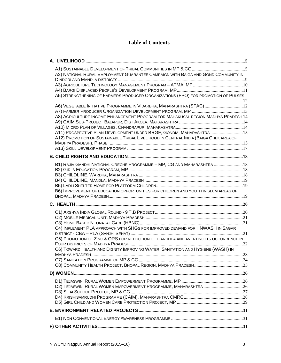# **Table of Contents**

| A2) NATIONAL RURAL EMPLOYMENT GUARANTEE CAMPAIGN WITH BAIGA AND GOND COMMUNITY IN<br>A5) STRENGTHENING OF FARMERS PRODUCER ORGANIZATIONS (FPO) FOR PROMOTION OF PULSES                                                                                                                                                     |  |
|----------------------------------------------------------------------------------------------------------------------------------------------------------------------------------------------------------------------------------------------------------------------------------------------------------------------------|--|
| A6) VEGETABLE INITIATIVE PROGRAMME IN VIDARBHA, MAHARASHTRA (SFAC) 12<br>A8) AGRICULTURE INCOME ENHANCEMENT PROGRAM FOR MAHAKUSAL REGION MADHYA PRADESH 14<br>A11) PROSPECTIVE PLAN DEVELOPMENT UNDER BRGF, GONDIA, MAHARASHTRA 15<br>A12) PROMOTION OF SUSTAINABLE TRIBAL LIVELIHOOD IN CENTRAL INDIA (BAIGA CHEK AREA OF |  |
|                                                                                                                                                                                                                                                                                                                            |  |
| B1) RAJIV GANDHI NATIONAL CRECHE PROGRAMME - MP, CG AND MAHARASHTRA  18<br>B6) IMPROVEMENT OF EDUCATION OPPORTUNITIES FOR CHILDREN AND YOUTH IN SLUM AREAS OF                                                                                                                                                              |  |
|                                                                                                                                                                                                                                                                                                                            |  |
| C4) IMPLEMENT PLA APPROACH WITH SHGS FOR IMPROVED DEMAND FOR HNWASH IN SAGAR<br>C5) PROMOTION OF ZINC & ORS FOR REDUCTION OF DIARRHEA AND AVERTING ITS OCCURRENCE IN<br>C6) TOWARD HEALTH AND DIGNITY IMPROVING WATER, SANITATION AND HYGIENE (WASH) IN                                                                    |  |
|                                                                                                                                                                                                                                                                                                                            |  |
| D2) TEJASWINI RURAL WOMEN EMPOWERMENT PROGRAMME, MAHARASHTRA 26                                                                                                                                                                                                                                                            |  |
|                                                                                                                                                                                                                                                                                                                            |  |
|                                                                                                                                                                                                                                                                                                                            |  |
|                                                                                                                                                                                                                                                                                                                            |  |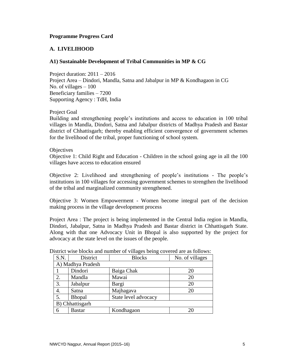#### **Programme Progress Card**

# <span id="page-4-0"></span>**A. LIVELIHOOD**

#### <span id="page-4-1"></span>**A1) Sustainable Development of Tribal Communities in MP & CG**

Project duration: 2011 – 2016 Project Area – Dindori, Mandla, Satna and Jabalpur in MP & Kondhagaon in CG No. of villages  $-100$ Beneficiary families – 7200 Supporting Agency : TdH, India

#### Project Goal

Building and strengthening people's institutions and access to education in 100 tribal villages in Mandla, Dindori, Satna and Jabalpur districts of Madhya Pradesh and Bastar district of Chhattisgarh; thereby enabling efficient convergence of government schemes for the livelihood of the tribal, proper functioning of school system.

#### **Objectives**

Objective 1: Child Right and Education - Children in the school going age in all the 100 villages have access to education ensured

Objective 2: Livelihood and strengthening of people's institutions - The people's institutions in 100 villages for accessing government schemes to strengthen the livelihood of the tribal and marginalized community strengthened.

Objective 3: Women Empowerment - Women become integral part of the decision making process in the village development process

Project Area : The project is being implemented in the Central India region in Mandla, Dindori, Jabalpur, Satna in Madhya Pradesh and Bastar district in Chhattisgarh State. Along with that one Advocacy Unit in Bhopal is also supported by the project for advocacy at the state level on the issues of the people.

| S.N. | District          | <b>Blocks</b>        | No. of villages |  |  |  |  |
|------|-------------------|----------------------|-----------------|--|--|--|--|
|      | A) Madhya Pradesh |                      |                 |  |  |  |  |
|      | Dindori           | Baiga Chak           | 20              |  |  |  |  |
| 2.   | Mandla            | Mawai                | 20              |  |  |  |  |
| 3.   | Jabalpur          | Bargi                | 20              |  |  |  |  |
| 4.   | Satna             | Majhagava            | 20              |  |  |  |  |
| 5.   | <b>Bhopal</b>     | State level advocacy |                 |  |  |  |  |
|      | B) Chhattisgarh   |                      |                 |  |  |  |  |
| 6    | <b>Bastar</b>     | Kondhagaon           | 20              |  |  |  |  |

District wise blocks and number of villages being covered are as follows: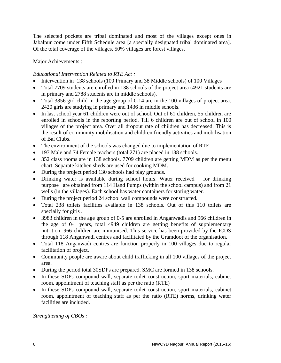The selected pockets are tribal dominated and most of the villages except ones in Jabalpur come under Fifth Schedule area [a specially designated tribal dominated area]. Of the total coverage of the villages, 50% villages are forest villages.

Major Achievements :

# *Educational Intervention Related to RTE Act :*

- Intervention in 138 schools (100 Primary and 38 Middle schools) of 100 Villages
- Total 7709 students are enrolled in 138 schools of the project area (4921 students are in primary and 2788 students are in middle schools).
- Total 3856 girl child in the age group of 0-14 are in the 100 villages of project area. 2420 girls are studying in primary and 1436 in middle schools.
- In last school year 61 children were out of school. Out of 61 children, 55 children are enrolled in schools in the reporting period. Till 6 children are out of school in 100 villages of the project area. Over all dropout rate of children has decreased. This is the result of community mobilisation and children friendly activities and mobilisation of Bal Clubs.
- The environment of the schools was changed due to implementation of RTE.
- 197 Male and 74 Female teachers (total 271) are placed in 138 schools.
- 352 class rooms are in 138 schools. 7709 children are getting MDM as per the menu chart. Separate kitchen sheds are used for cooking MDM.
- During the project period 130 schools had play grounds.
- Drinking water is available during school hours. Water received for drinking purpose are obtained from 114 Hand Pumps (within the school campus) and from 21 wells (in the villages). Each school has water containers for storing water.
- During the project period 24 school wall compounds were constructed.
- Total 238 toilets facilities available in 138 schools. Out of this 110 toilets are specially for girls .
- 3983 children in the age group of 0-5 are enrolled in Anganwadis and 966 children in the age of 0-1 years, total 4949 children are getting benefits of supplementary nutrition. 966 children are immunised. This service has been provided by the ICDS through 118 Anganwadi centres and facilitated by the Gramdoot of the organisation.
- Total 118 Anganwadi centres are function properly in 100 villages due to regular facilitation of project.
- Community people are aware about child trafficking in all 100 villages of the project area.
- During the period total 30SDPs are prepared. SMC are formed in 138 schools.
- In these SDPs compound wall, separate toilet construction, sport materials, cabinet room, appointment of teaching staff as per the ratio (RTE)
- In these SDPs compound wall, separate toilet construction, sport materials, cabinet room, appointment of teaching staff as per the ratio (RTE) norms, drinking water facilities are included.

*Strengthening of CBOs :*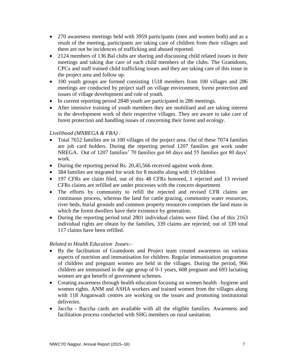- 270 awareness meetings held with 3959 participants (men and women both) and as a result of the meeting, participants are taking care of children from their villages and there are not be incidences of trafficking and abused reported.
- 2124 members of 136 Bal clubs are sharing and discussing child related issues in their meetings and taking due care of each child members of the clubs. The Gramdoots, CPCs and staff trained child trafficking issues and they are taking care of this issue in the project area and follow up.
- 100 youth groups are formed consisting 1518 members from 100 villages and 286 meetings are conducted by project staff on village environment, forest protection and issues of village development and role of youth.
- In current reporting period 2848 youth are participated in 286 meetings.
- After intensive training of youth members they are mobilised and are taking interest in the development work of their respective villages. They are aware to take care of forest protection and handling issues of concerning their forest and ecology.

# *Livelihood (MNREGA & FRA) :*

- Total 7652 families are in 100 villages of the project area. Out of these 7074 families are job card holders. During the reporting period 1207 families got work under NREGA. Out of 1207 families' 70 families got 60 days and 55 families got 80 days' work.
- During the reporting period Rs. 20,45,566 received against work done.
- 384 families are migrated for work for 8 months along with 19 children.
- 197 CFRs are claim filed, out of this 48 CFRs honored, 1 rejected and 13 revised CFRs claims are refilled are under processes with the concern department.
- The efforts by community to refill the rejected and revised CFR claims are continuous process, whereas the land for cattle grazing, community water resources, river beds, burial grounds and common property resources comprises the land mass in which the forest dwellers have their existence by generation.
- During the reporting period total 2801 individual claims were filed. Out of this 2163 individual rights are obtain by the families, 339 claims are rejected; out of 339 total 117 claims have been refilled.

# *Related to Health Education Issues:-*

- By the facilitation of Gramdoots and Project team created awareness on various aspects of nutrition and immunisation for children. Regular immunisation programme of children and pregnant women are held in the villages. During the period, 966 children are immunised in the age group of 0-1 years, 608 pregnant and 693 lactating women are got benefit of government schemes.
- Creating awareness through health education focusing on women health –hygiene and women rights. ANM and ASHA workers and trained women from the villages along with 118 Anganwadi centres are working on the issues and promoting institutional deliveries.
- Jaccha Baccha cards are available with all the eligible families. Awareness and facilitation process conducted with SHG members on rural sanitation.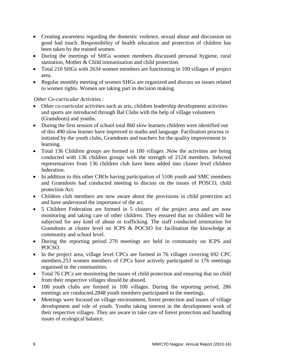- Creating awareness regarding the domestic violence, sexual abuse and discussion on good bad touch. Responsibility of health education and protection of children has been taken by the trained women.
- During the meetings of SHGs women members discussed personal hygiene, rural sanitation, Mother & Child immunisation and child protection.
- Total 210 SHGs with 2634 women members are functioning in 100 villages of project area.
- Regular monthly meeting of women SHGs are organized and discuss on issues related to women rights. Women are taking part in decision making.

#### *Other Co-curricular Activities :*

- Other co-curricular activities such as arts, children leadership development activities and sports are introduced through Bal Clubs with the help of village volunteers (Gramdoots) and youths.
- During the first session of school total 860 slow learners children were identified out of this 490 slow learner have improved in maths and language. Facilitation process is initiated by the youth clubs, Gramdoots and teachers for the quality improvement in learning.
- Total 136 Children groups are formed in 100 villages .Now the activities are being conducted with 136 children groups with the strength of 2124 members. Selected representatives from 136 children club have been added into cluster level children federation.
- In addition to this other CBOs having participation of 5106 youth and SMC members and Gramdoots had conducted meeting to discuss on the issues of POSCO, child protection Act.
- Children club members are now aware about the provisions in child protection act and have understood the importance of the act.
- 5 Children Federation are formed in 5 clusters of the project area and are now monitoring and taking care of other children. They ensured that no children will be subjected for any kind of abuse or trafficking. The staff conducted orientation for Gramdoots at cluster level on ICPS & POCSO for facilitation the knowledge at community and school level.
- During the reporting period 270 meetings are held in community on ICPS and POCSO.
- In the project area, village level CPCs are formed in 76 villages covering 692 CPC members.253 women members of CPCs have actively participated in 176 meetings organised in the communities.
- Total 76 CPCs are monitoring the issues of child protection and ensuring that no child from their respective villages should be abused.
- 100 youth clubs are formed in 100 villages. During the reporting period, 286 meetings are conducted.2848 youth members participated in the meetings.
- Meetings were focused on village environment, forest protection and issues of village development and role of youth. Youths taking interest in the development work of their respective villages. They are aware to take care of forest protection and handling issues of ecological balance.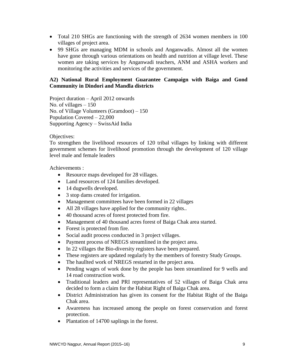- Total 210 SHGs are functioning with the strength of 2634 women members in 100 villages of project area.
- 99 SHGs are managing MDM in schools and Anganwadis. Almost all the women have gone through various orientations on health and nutrition at village level. These women are taking services by Anganwadi teachers, ANM and ASHA workers and monitoring the activities and services of the government.

#### <span id="page-8-0"></span>**A2) National Rural Employment Guarantee Campaign with Baiga and Gond Community in Dindori and Mandla districts**

Project duration – April 2012 onwards No. of villages  $-150$ No. of Village Volunteers (Gramdoot) – 150 Population Covered – 22,000 Supporting Agency – SwissAid India

#### Objectives:

To strengthen the livelihood resources of 120 tribal villages by linking with different government schemes for livelihood promotion through the development of 120 village level male and female leaders

Achievements :

- Resource maps developed for 28 villages.
- Land resources of 124 families developed.
- 14 dugwells developed.
- 3 stop dams created for irrigation.
- Management committees have been formed in 22 villages
- All 28 villages have applied for the community rights..
- 40 thousand acres of forest protected from fire.
- Management of 40 thousand acres forest of Baiga Chak area started.
- Forest is protected from fire.
- Social audit process conducted in 3 project villages.
- Payment process of NREGS streamlined in the project area.
- In 22 villages the Bio-diversity registers have been prepared.
- These registers are updated regularly by the members of forestry Study Groups.
- The haullted work of NREGS restarted in the project area.
- Pending wages of work done by the people has been streamlined for 9 wells and 14 road construction work.
- Traditional leaders and PRI representatives of 52 villages of Baiga Chak area decided to form a claim for the Habitat Right of Baiga Chak area.
- District Administration has given its consent for the Habitat Right of the Baiga Chak area.
- Awareness has increased among the people on forest conservation and forest protection.
- Plantation of 14700 saplings in the forest.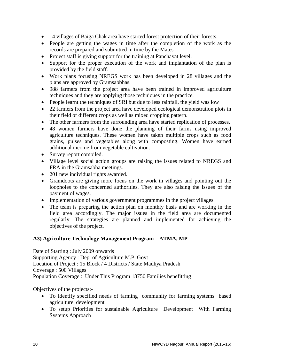- 14 villages of Baiga Chak area have started forest protection of their forests.
- People are getting the wages in time after the completion of the work as the records are prepared and submitted in time by the Mates
- Project staff is giving support for the training at Panchayat level.
- Support for the proper execution of the work and implantation of the plan is provided by the field staff.
- Work plans focusing NREGS work has been developed in 28 villages and the plans are approved by Gramsabbhas.
- 988 farmers from the project area have been trained in improved agriculture techniques and they are applying those techniques in the practice.
- People learnt the techniques of SRI but due to less rainfall, the yield was low
- 22 farmers from the project area have developed ecological demonstration plots in their field of different crops as well as mixed cropping pattern.
- The other farmers from the surrounding area have started replication of processes.
- 48 women farmers have done the planning of their farms using improved agriculture techniques. These women have taken multiple crops such as food grains, pulses and vegetables along with composting. Women have earned additional income from vegetable cultivation.
- Survey report compiled.
- Village level social action groups are raising the issues related to NREGS and FRA in the Gramsabha meetings.
- 201 new individual rights awarded.
- Gramdoots are giving more focus on the work in villages and pointing out the loopholes to the concerned authorities. They are also raising the issues of the payment of wages.
- Implementation of various government programmes in the project villages.
- The team is preparing the action plan on monthly basis and are working in the field area accordingly. The major issues in the field area are documented regularly. The strategies are planned and implemented for achieving the objectives of the project.

#### <span id="page-9-0"></span>**A3) Agriculture Technology Management Program – ATMA, MP**

Date of Starting : July 2009 onwards Supporting Agency : Dep. of Agriculture M.P. Govt Location of Project : 15 Block / 4 Districts / State Madhya Pradesh Coverage : 500 Villages Population Coverage : Under This Program 18750 Families benefitting

Objectives of the projects:-

- To Identify specified needs of farming community for farming systems based agriculture development
- To setup Priorities for sustainable Agriculture Development With Farming Systems Approach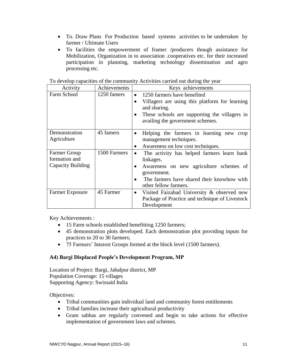- To. Draw Plans For Production based systems activities to be undertaken by farmer / Ultimate Users
- To facilities the empowerment of framer /producers though assistance for Mobilization, Organization in to association .cooperatives etc. for their increased participation in planning, marketing technology dissemination and agro processing etc.

| Activity                             | Achievements | Keys achievements                        |                                                                                   |  |
|--------------------------------------|--------------|------------------------------------------|-----------------------------------------------------------------------------------|--|
| Farm School                          | 1250 famers  | 1250 farmers have benefited<br>$\bullet$ |                                                                                   |  |
|                                      |              | $\bullet$                                | Villagers are using this platform for learning<br>and sharing.                    |  |
|                                      |              | $\bullet$                                | These schools are supporting the villagers in<br>availing the government schemes. |  |
| Demonstration<br>Agriculture         | 45 famers    | $\bullet$                                | Helping the farmers in learning new crop<br>management techniques.                |  |
|                                      |              |                                          | Awareness on low cost techniques.                                                 |  |
| <b>Farmer Group</b><br>formation and | 1500 Farmers |                                          | The activity has helped farmers learn bank                                        |  |
| Capacity Building                    |              |                                          | linkages.                                                                         |  |
|                                      |              |                                          | Awareness on new agriculture schemes of<br>government.                            |  |
|                                      |              |                                          | The farmers have shared their knowhow with<br>other fellow farmers.               |  |
| <b>Farmer Exposure</b>               | 45 Farmer    | $\bullet$                                | Visited Faizabad University & observed new                                        |  |
|                                      |              |                                          | Package of Practice and technique of Livestock                                    |  |
|                                      |              |                                          | Development                                                                       |  |

To develop capacities of the community Activities carried out during the year

Key Achievements :

- 15 Farm schools established benefitting 1250 farmers;
- 45 demonstration plots developed. Each demonstration plot providing inputs for practices to 20 to 30 farmers;
- 75 Farmers' Interest Groups formed at the block level (1500 farmers).

#### <span id="page-10-0"></span>**A4) Bargi Displaced People's Development Program, MP**

Location of Project: Bargi, Jabalpur district, MP Population Coverage: 15 villages Supporting Agency: Swissaid India

- Tribal communities gain individual land and community forest entitlements
- Tribal families increase their agricultural productivity
- Gram sabhas are regularly convened and begin to take actions for effective implementation of government laws and schemes.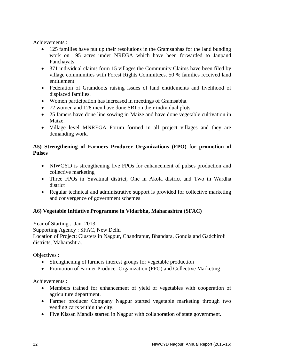Achievements :

- 125 families have put up their resolutions in the Gramsabhas for the land bunding work on 195 acres under NREGA which have been forwarded to Janpand Panchayats.
- 371 individual claims form 15 villages the Community Claims have been filed by village communities with Forest Rights Committees. 50 % families received land entitlement.
- Federation of Gramdoots raising issues of land entitlements and livelihood of displaced families.
- Women participation has increased in meetings of Gramsabha.
- 72 women and 128 men have done SRI on their individual plots.
- 25 famers have done line sowing in Maize and have done vegetable cultivation in Maize.
- Village level MNREGA Forum formed in all project villages and they are demanding work.

# <span id="page-11-0"></span>**A5) Strengthening of Farmers Producer Organizations (FPO) for promotion of Pulses**

- NIWCYD is strengthening five FPOs for enhancement of pulses production and collective marketing
- Three FPOs in Yavatmal district, One in Akola district and Two in Wardha district
- Regular technical and administrative support is provided for collective marketing and convergence of government schemes

# <span id="page-11-1"></span>**A6) Vegetable Initiative Programme in Vidarbha, Maharashtra (SFAC)**

Year of Starting : Jan. 2013 Supporting Agency : SFAC, New Delhi Location of Project: Clusters in Nagpur, Chandrapur, Bhandara, Gondia and Gadchiroli districts, Maharashtra.

Objectives :

- Strengthening of farmers interest groups for vegetable production
- Promotion of Farmer Producer Organization (FPO) and Collective Marketing

Achievements :

- Members trained for enhancement of yield of vegetables with cooperation of agriculture department.
- Farmer producer Company Nagpur started vegetable marketing through two vending carts within the city.
- Five Kissan Mandis started in Nagpur with collaboration of state government.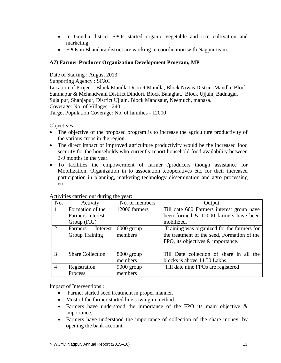- In Gondia district FPOs started organic vegetable and rice cultivation and marketing
- FPOs in Bhandara district are working in coordination with Nagpur team.

# <span id="page-12-0"></span>**A7) Farmer Producer Organization Development Program, MP**

Date of Starting : August 2013 Supporting Agency : SFAC Location of Project : Block Mandla District Mandla, Block Niwas District Mandla, Block Samnapur & Mehandwani District Dindori, Block Balaghat, Block Ujjain, Badnagar, Sujalpur, Shahjapur, District Ujjain, Block Mandsaur, Neemuch, manasa. Coverage: No. of Villages - 240 Target Population Coverage: No. of families - 12000

Objectives :

- The objective of the proposed program is to increase the agriculture productivity of the various crops in the region.
- The direct impact of improved agriculture productivity would be the increased food security for the households who currently report household food availability between 3-9 months in the year.
- To facilities the empowerment of farmer /producers though assistance for Mobilization, Organization in to association .cooperatives etc. for their increased participation in planning, marketing technology dissemination and agro processing etc.

|                | rearmed carried out during the year. |                |                                             |  |  |
|----------------|--------------------------------------|----------------|---------------------------------------------|--|--|
| No.            | Activity                             | No. of members | Output                                      |  |  |
| 1              | Formation of the                     | 12000 farmers  | Till date 600 Farmers interest group have   |  |  |
|                | <b>Farmers Interest</b>              |                | been formed & 12000 farmers have been       |  |  |
|                | Group (FIG)                          |                | mobilized.                                  |  |  |
| 2              | Interest<br>Farmers                  | $6000$ group   | Training was organized for the farmers for  |  |  |
|                | <b>Group Training</b>                | members        | the treatment of the seed, Formation of the |  |  |
|                |                                      |                | FPO, its objectives & importance.           |  |  |
|                |                                      |                |                                             |  |  |
| 3              | <b>Share Collection</b>              | 8000 group     | Till Date collection of share in all the    |  |  |
|                |                                      | members        | blocks is above 14.50 Lakhs.                |  |  |
| $\overline{4}$ | Registration                         | $9000$ group   | Till date nine FPOs are registered          |  |  |
|                | Process                              | members        |                                             |  |  |

Activities carried out during the year:

Impact of Interventions :

- Farmer started seed treatment in proper manner.
- Most of the farmer started line sowing in method.
- Farmers have understood the importance of the FPO its main objective & importance.
- Farmers have understood the importance of collection of the share money, by opening the bank account.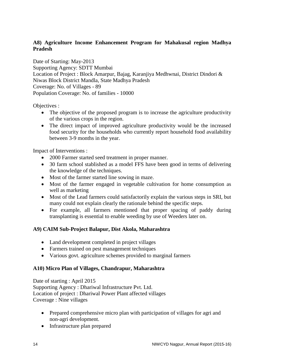# <span id="page-13-0"></span>**A8) Agriculture Income Enhancement Program for Mahakusal region Madhya Pradesh**

Date of Starting: May-2013 Supporting Agency: SDTT Mumbai Location of Project : Block Amarpur, Bajag, Karanjiya Medhwnai, District Dindori & Niwas Block District Mandla, State Madhya Pradesh Coverage: No. of Villages - 89 Population Coverage: No. of families - 10000

Objectives :

- The objective of the proposed program is to increase the agriculture productivity of the various crops in the region.
- The direct impact of improved agriculture productivity would be the increased food security for the households who currently report household food availability between 3-9 months in the year.

Impact of Interventions :

- 2000 Farmer started seed treatment in proper manner.
- 30 farm school stablished as a model FFS have been good in terms of delivering the knowledge of the techniques.
- Most of the farmer started line sowing in maze.
- Most of the farmer engaged in vegetable cultivation for home consumption as well as marketing
- Most of the Lead farmers could satisfactorily explain the various steps in SRI, but many could not explain clearly the rationale behind the specific steps.
- For example, all farmers mentioned that proper spacing of paddy during transplanting is essential to enable weeding by use of Weeders later on.

# <span id="page-13-1"></span>**A9) CAIM Sub-Project Balapur, Dist Akola, Maharashtra**

- Land development completed in project villages
- Farmers trained on pest management techniques
- Various govt. agriculture schemes provided to marginal farmers

# <span id="page-13-2"></span>**A10) Micro Plan of Villages, Chandrapur, Maharashtra**

Date of starting : April 2015 Supporting Agency : Dhariwal Infrastructure Pvt. Ltd. Location of project : Dhariwal Power Plant affected villages Coverage : Nine villages

- Prepared comprehensive micro plan with participation of villages for agri and non-agri development.
- Infrastructure plan prepared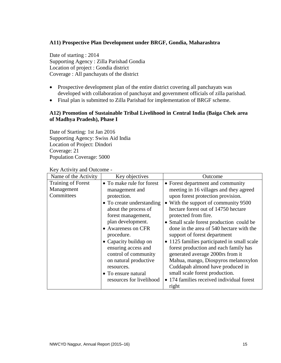#### <span id="page-14-0"></span>**A11) Prospective Plan Development under BRGF, Gondia, Maharashtra**

Date of starting : 2014 Supporting Agency : Zilla Parishad Gondia Location of project : Gondia district Coverage : All panchayats of the district

- Prospective development plan of the entire district covering all panchayats was developed with collaboration of panchayat and government officials of zilla parishad.
- Final plan is submitted to Zilla Parishad for implementation of BRGF scheme.

#### <span id="page-14-1"></span>**A12) Promotion of Sustainable Tribal Livelihood in Central India (Baiga Chek area of Madhya Pradesh), Phase I**

Date of Starting: 1st Jan 2016 Supporting Agency: Swiss Aid India Location of Project: Dindori Coverage: 21 Population Coverage: 5000

| Name of the Activity                                  | Key objectives                                                                                                                                                                                                                                                                                                                                                   | Outcome                                                                                                                                                                                                                                                                                                                                                                                                                                                                                                                                                                                                                                        |
|-------------------------------------------------------|------------------------------------------------------------------------------------------------------------------------------------------------------------------------------------------------------------------------------------------------------------------------------------------------------------------------------------------------------------------|------------------------------------------------------------------------------------------------------------------------------------------------------------------------------------------------------------------------------------------------------------------------------------------------------------------------------------------------------------------------------------------------------------------------------------------------------------------------------------------------------------------------------------------------------------------------------------------------------------------------------------------------|
| <b>Training of Forest</b><br>Management<br>Committees | • To make rule for forest<br>management and<br>protection.<br>• To create understanding<br>about the process of<br>forest management,<br>plan development.<br>• Awareness on CFR<br>procedure.<br>• Capacity buildup on<br>ensuring access and<br>control of community<br>on natural productive<br>resources.<br>• To ensure natural<br>resources for livelihood | • Forest department and community<br>meeting in 16 villages and they agreed<br>upon forest protection provision.<br>• With the support of community 9500<br>hectare forest out of 14750 hectare<br>protected from fire.<br>• Small scale forest production could be<br>done in the area of 540 hectare with the<br>support of forest department<br>• 1125 families participated in small scale<br>forest production and each family has<br>generated average 2000rs from it<br>Mahua, mango, Diospyros melanoxylon<br>Cuddapah almond have produced in<br>small scale forest production.<br>• 174 families received individual forest<br>right |

Key Activity and Outcome -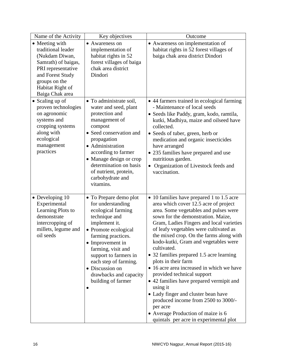| Name of the Activity                                                                                                                                                            | Key objectives                                                                                                                                                                                                                                                                                                   | Outcome                                                                                                                                                                                                                                                                                                                                                                                                                                                                                                                                                                                                                                                                                                                                   |
|---------------------------------------------------------------------------------------------------------------------------------------------------------------------------------|------------------------------------------------------------------------------------------------------------------------------------------------------------------------------------------------------------------------------------------------------------------------------------------------------------------|-------------------------------------------------------------------------------------------------------------------------------------------------------------------------------------------------------------------------------------------------------------------------------------------------------------------------------------------------------------------------------------------------------------------------------------------------------------------------------------------------------------------------------------------------------------------------------------------------------------------------------------------------------------------------------------------------------------------------------------------|
| • Meeting with<br>traditional leader<br>(Nukdam Diwan,<br>Samrath) of baigas,<br>PRI representative<br>and Forest Study<br>groups on the<br>Habitat Right of<br>Baiga Chak area | • Awareness on<br>implementation of<br>habitat rights in 52<br>forest villages of baiga<br>chak area district<br>Dindori                                                                                                                                                                                         | • Awareness on implementation of<br>habitat rights in 52 forest villages of<br>baiga chak area district Dindori                                                                                                                                                                                                                                                                                                                                                                                                                                                                                                                                                                                                                           |
| $\bullet$ Scaling up of<br>proven technologies<br>on agronomic<br>systems and<br>cropping systems<br>along with<br>ecological<br>management<br>practices                        | • To administrate soil,<br>water and seed, plant<br>protection and<br>management of<br>compost<br>• Seed conservation and<br>propagation<br>• Administration<br>according to farmer<br>• Manage design or crop<br>determination on basis<br>of nutrient, protein,<br>carbohydrate and<br>vitamins.               | • 44 farmers trained in ecological farming<br>- Maintenance of local seeds<br>· Seeds like Paddy, gram, kodo, ramtila,<br>kutki, Madhiya, maize and oilseed have<br>collected.<br>• Seeds of tuber, green, herb or<br>medication and organic insecticides<br>have arranged<br>• 235 families have prepared and use<br>nutritious garden.<br>• Organization of Livestock feeds and<br>vaccination.                                                                                                                                                                                                                                                                                                                                         |
| • Developing 10<br>Experimental<br>Learning Plots to<br>demonstrate<br>intercropping of<br>millets, legume and<br>oil seeds                                                     | • To Prepare demo plot<br>for understanding<br>ecological farming<br>technique and<br>implement it.<br>• Promote ecological<br>farming practices.<br>• Improvement in<br>farming, visit and<br>support to farmers in<br>each step of farming.<br>• Discussion on<br>drawbacks and capacity<br>building of farmer | • 10 families have prepared 1 to 1.5 acre<br>area which cover 12.5 acre of project<br>area. Some vegetables and pulses were<br>sown for the demonstration. Maize,<br>Gram, Ladies Fingers and local varieties<br>of leafy vegetables were cultivated as<br>the mixed crop. On the farms along with<br>kodo-kutki, Gram and vegetables were<br>cultivated.<br>• 32 families prepared 1.5 acre learning<br>plots in their farm<br>• 16 acre area increased in which we have<br>provided technical support<br>• 42 families have prepared vermipit and<br>using it<br>• Lady finger and cluster bean have<br>produced income from 2500 to 3000/-<br>per acre<br>• Average Production of maize is 6<br>quintals per acre in experimental plot |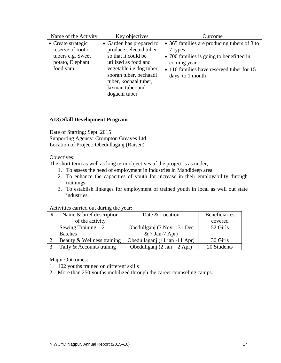| Name of the Activity                                                                          | Key objectives                                                                                                                                                                                                        | Outcome                                                                                                                                                                           |
|-----------------------------------------------------------------------------------------------|-----------------------------------------------------------------------------------------------------------------------------------------------------------------------------------------------------------------------|-----------------------------------------------------------------------------------------------------------------------------------------------------------------------------------|
| • Create strategic<br>reserve of root or<br>tubers e.g. Sweet<br>potato, Elephant<br>food yam | • Garden has prepared to<br>produce selected tuber<br>so that it could be<br>utilized as food and<br>vegetable i.e dog tuber,<br>sooran tuber, bechaadi<br>tuber, kochaai tuber,<br>laxman tuber and<br>dogachi tuber | • 365 families are producing tubers of 3 to<br>7 types<br>• 700 families is going to benefitted in<br>coming year<br>• 116 families have reserved tuber for 15<br>days to 1 month |

#### <span id="page-16-0"></span>**A13) Skill Development Program**

Date of Starting: Sept 2015 Supporting Agency: Crompton Greaves Ltd. Location of Project: Obedullaganj (Raisen)

Objectives:

The short term as well as long term objectives of the project is as under;

- 1. To assess the need of employment in industries in Mandideep area
- 2. To enhance the capacities of youth for increase in their employability through trainings.
- 3. To establish linkages for employment of trained youth in local as well out state industries.

#### Activities carried out during the year:

| #              | Name & brief description   | Date & Location               | <b>Beneficiaries</b> |
|----------------|----------------------------|-------------------------------|----------------------|
|                | of the activity            |                               | covered              |
|                | Sewing Training $-2$       | Obedullganj (7 Nov $-31$ Dec  | 52 Girls             |
|                | <b>Batches</b>             | $& 7$ Jan-7 Apr)              |                      |
| $\cdot$ 2      | Beauty & Wellness training | Obedullaganj (11 jan -11 Apr) | 30 Girls             |
| $\overline{3}$ | Tally & Accounts training  | Obedullganj (2 Jan $-$ 2 Apr) | 20 Students          |

Major Outcomes:

- 1. 102 youths trained on different skills
- 2. More than 250 youths mobilized through the career counseling camps.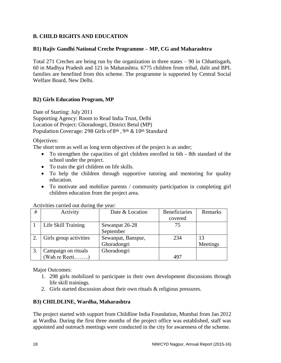# <span id="page-17-0"></span>**B. CHILD RIGHTS AND EDUCATION**

#### <span id="page-17-1"></span>**B1) Rajiv Gandhi National Creche Programme – MP, CG and Maharashtra**

Total 271 Creches are being run by the organization in three states – 90 in Chhattisgarh, 60 in Madhya Pradesh and 121 in Maharashtra. 6775 children from tribal, dalit and BPL families are benefited from this scheme. The programme is supported by Central Social Welfare Board, New Delhi.

#### <span id="page-17-2"></span>**B2) Girls Education Program, MP**

Date of Starting: July 2011 Supporting Agency: Room to Read India Trust, Delhi Location of Project: Ghoradongri, District Betul (MP) Population Coverage: 298 Girls of 8<sup>th</sup>, 9<sup>th</sup> & 10<sup>th</sup> Standard

Objectives:

The short term as well as long term objectives of the project is as under;

- To strengthen the capacities of girl children enrolled in 6th 8th standard of the school under the project.
- To train the girl children on life skills.
- To help the children through supportive tutoring and mentoring for quality education.
- To motivate and mobilize parents / community participation in completing girl children education from the project area.

| Activities carried out during the year: |  |
|-----------------------------------------|--|
|-----------------------------------------|--|

| # | Activity               | Date & Location    | <b>Beneficiaries</b> | Remarks  |
|---|------------------------|--------------------|----------------------|----------|
|   |                        |                    | covered              |          |
|   | Life Skill Training    | Sewanpat 26-28     | 75                   |          |
|   |                        | September          |                      |          |
|   | Girls group activities | Sewanpat, Banspur, | 234                  |          |
|   |                        | Ghoradongri        |                      | Meetings |
|   | Campaign on rituals    | Ghoradongri        |                      |          |
|   | (Wah re Reeti)         |                    | 49′                  |          |

Major Outcomes:

- 1. 298 girls mobilized to participate in their own development discussions through life skill trainings.
- 2. Girls started discussion about their own rituals & religious pressures.

# <span id="page-17-3"></span>**B3) CHILDLINE, Wardha, Maharashtra**

The project started with support from Childline India Foundation, Mumbai from Jan 2012 at Wardha. During the first three months of the project office was established, staff was appointed and outreach meetings were conducted in the city for awareness of the scheme.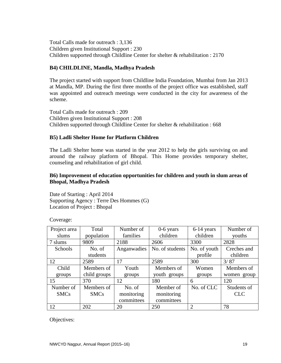Total Calls made for outreach : 3,136 Children given Institutional Support : 230 Children supported through Childline Center for shelter & rehabilitation : 2170

#### <span id="page-18-0"></span>**B4) CHILDLINE, Mandla, Madhya Pradesh**

The project started with support from Childline India Foundation, Mumbai from Jan 2013 at Mandla, MP. During the first three months of the project office was established, staff was appointed and outreach meetings were conducted in the city for awareness of the scheme.

Total Calls made for outreach : 209 Children given Institutional Support : 208 Children supported through Childline Center for shelter & rehabilitation : 668

#### <span id="page-18-1"></span>**B5) Ladli Shelter Home for Platform Children**

The Ladli Shelter home was started in the year 2012 to help the girls surviving on and around the railway platform of Bhopal. This Home provides temporary shelter, counseling and rehabilitation of girl child.

#### <span id="page-18-2"></span>**B6) Improvement of education opportunities for children and youth in slum areas of Bhopal, Madhya Pradesh**

Date of Starting : April 2014 Supporting Agency : Terre Des Hommes (G) Location of Project : Bhopal

Coverage:

| Project area | Total        | Number of   | $0-6$ years     | 6-14 years   | Number of   |
|--------------|--------------|-------------|-----------------|--------------|-------------|
| slums        | population   | families    | children        | children     | youths      |
| 7 slums      | 9809         | 2188        | 2606            | 3300         | 2828        |
| Schools      | No. of       | Anganwadies | No. of students | No. of youth | Creches and |
|              | students     |             |                 | profile      | children    |
| 12           | 2589         | 17          | 2589            | 300          | 3/87        |
| Child        | Members of   | Youth       | Members of      | Women        | Members of  |
| groups       | child groups | groups      | youth groups    | groups       | women group |
| 15           | 370          | 12          | 180             | 6            | 120         |
| Number of    | Members of   | No. of      | Member of       | No. of CLC   | Students of |
| <b>SMCs</b>  | <b>SMCs</b>  | monitoring  | monitoring      |              | <b>CLC</b>  |
|              |              | committees  | committees      |              |             |
| 12           | 202          | 20          | 250             | 2            | 78          |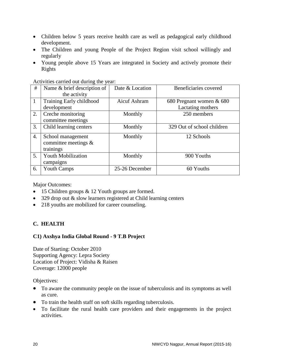- Children below 5 years receive health care as well as pedagogical early childhood development.
- The Children and young People of the Project Region visit school willingly and regularly
- Young people above 15 Years are integrated in Society and actively promote their Rights

Activities carried out during the year:

| #            | Name & brief description of<br>the activity               | Date & Location | Beneficiaries covered                         |
|--------------|-----------------------------------------------------------|-----------------|-----------------------------------------------|
| $\mathbf{1}$ | Training Early childhood<br>development                   | Aicuf Ashram    | 680 Pregnant women & 680<br>Lactating mothers |
| 2.           | Creche monitoring<br>committee meetings                   | Monthly         | 250 members                                   |
| 3.           | Child learning centers                                    | Monthly         | 329 Out of school children                    |
| 4.           | School management<br>committee meetings $\&$<br>trainings | Monthly         | 12 Schools                                    |
| 5.           | <b>Youth Mobilization</b><br>campaigns                    | Monthly         | 900 Youths                                    |
| 6.           | <b>Youth Camps</b>                                        | 25-26 December  | 60 Youths                                     |

Major Outcomes:

- 15 Children groups & 12 Youth groups are formed.
- 329 drop out & slow learners registered at Child learning centers
- 218 youths are mobilized for career counseling.

# <span id="page-19-0"></span>**C. HEALTH**

# <span id="page-19-1"></span>**C1) Axshya India Global Round - 9 T.B Project**

Date of Starting: October 2010 Supporting Agency: Lepra Society Location of Project: Vidisha & Raisen Coverage: 12000 people

- To aware the community people on the issue of tuberculosis and its symptoms as well as cure.
- To train the health staff on soft skills regarding tuberculosis.
- To facilitate the rural health care providers and their engagements in the project activities.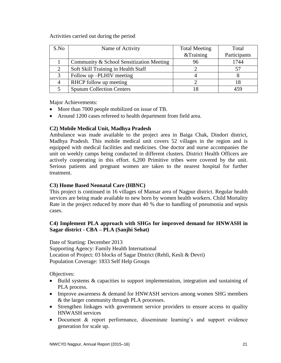#### Activities carried out during the period

| S.No | Name of Activity                         | <b>Total Meeting</b> | Total        |
|------|------------------------------------------|----------------------|--------------|
|      |                                          | &Training            | Participants |
|      | Community & School Sensitization Meeting | 96                   | 1744         |
|      | Soft Skill Training in Health Staff      |                      |              |
|      | Follow up -PLHIV meeting                 |                      |              |
|      | RHCP follow up meeting                   |                      |              |
|      | <b>Sputum Collection Centers</b>         |                      | 459          |

Major Achievements:

- More than 7000 people mobilized on issue of TB.
- Around 1200 cases refereed to health department from field area.

#### <span id="page-20-0"></span>**C2) Mobile Medical Unit, Madhya Pradesh**

Ambulance was made available to the project area in Baiga Chak, Dindori district, Madhya Pradesh. This mobile medical unit covers 52 villages in the region and is equipped with medical facilities and medicines. One doctor and nurse accompanies the unit on weekly camps being conducted in different clusters. District Health Officers are actively cooperating in this effort. 6,200 Primitive tribes were covered by the unit. Serious patients and pregnant women are taken to the nearest hospital for further treatment.

# <span id="page-20-1"></span>**C3) Home Based Neonatal Care (HBNC)**

This project is continued in 16 villages of Mansar area of Nagpur district. Regular health services are being made available to new born by women health workers. Child Mortality Rate in the project reduced by more than 40 % due to handling of pneumonia and sepsis cases.

# <span id="page-20-2"></span>**C4) Implement PLA approach with SHGs for improved demand for HNWASH in Sagar district - CBA – PLA (Sanjhi Sehat)**

Date of Starting: December 2013 Supporting Agency: Family Health International Location of Project: 03 blocks of Sagar District (Rehli, Kesli & Devri) Population Coverage: 1833 Self Help Groups

- Build systems & capacities to support implementation, integration and sustaining of PLA process.
- Improve awareness & demand for HNWASH services among women SHG members & the larger community through PLA processes.
- Strengthen linkages with government service providers to ensure access to quality HNWASH services
- Document & report performance, disseminate learning's and support evidence generation for scale up.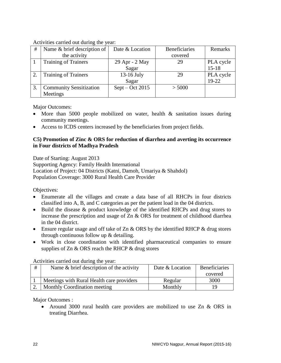#### Activities carried out during the year:

| #  | Name & brief description of    | Date & Location   | <b>Beneficiaries</b> | Remarks   |
|----|--------------------------------|-------------------|----------------------|-----------|
|    | the activity                   |                   | covered              |           |
|    | <b>Training of Trainers</b>    | 29 Apr - 2 May    | 29                   | PLA cycle |
|    |                                | Sagar             |                      | $15 - 18$ |
| 2. | <b>Training of Trainers</b>    | $13-16$ July      | 29                   | PLA cycle |
|    |                                | Sagar             |                      | $19-22$   |
|    | <b>Community Sensitization</b> | $Sept - Oct 2015$ | > 5000               |           |
|    | Meetings                       |                   |                      |           |

Major Outcomes:

- More than 5000 people mobilized on water, health & sanitation issues during community meetings.
- Access to ICDS centers increased by the beneficiaries from project fields.

#### <span id="page-21-0"></span>**C5) Promotion of Zinc & ORS for reduction of diarrhea and averting its occurrence in Four districts of Madhya Pradesh**

Date of Starting: August 2013 Supporting Agency: Family Health International Location of Project: 04 Districts (Katni, Damoh, Umariya & Shahdol) Population Coverage: 3000 Rural Health Care Provider

Objectives:

- Enumerate all the villages and create a data base of all RHCPs in four districts classified into A, B, and C categories as per the patient load in the 04 districts.
- Build the disease & product knowledge of the identified RHCPs and drug stores to increase the prescription and usage of Zn & ORS for treatment of childhood diarrhea in the 04 district.
- Ensure regular usage and off take of Zn & ORS by the identified RHCP & drug stores through continuous follow up & detailing.
- Work in close coordination with identified pharmaceutical companies to ensure supplies of  $Zn \& ORS$  reach the RHCP  $\&$  drug stores

Activities carried out during the year:

| # | Name $\&$ brief description of the activity | Date & Location | <b>Beneficiaries</b> |
|---|---------------------------------------------|-----------------|----------------------|
|   |                                             |                 | covered              |
|   | Meetings with Rural Health care providers   | Regular         | 3000                 |
|   | Monthly Coordination meeting                | Monthly         | 19                   |

Major Outcomes :

• Around 3000 rural health care providers are mobilized to use Zn & ORS in treating Diarrhea.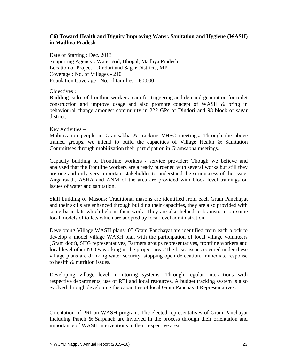#### <span id="page-22-0"></span>**C6) Toward Health and Dignity Improving Water, Sanitation and Hygiene (WASH) in Madhya Pradesh**

Date of Starting : Dec. 2013 Supporting Agency : Water Aid, Bhopal, Madhya Pradesh Location of Project : Dindori and Sagar Districts, MP Coverage : No. of Villages - 210 Population Coverage : No. of families – 60,000

Objectives :

Building cadre of frontline workers team for triggering and demand generation for toilet construction and improve usage and also promote concept of WASH & bring in behavioural change amongst community in 222 GPs of Dindori and 98 block of sagar district.

#### Key Activities –

Mobilization people in Gramsabha & tracking VHSC meetings: Through the above trained groups, we intend to build the capacities of Village Health & Sanitation Committees through mobilization their participation in Gramsabha meetings.

Capacity building of Frontline workers / service provider: Though we believe and analyzed that the frontline workers are already burdened with several works but still they are one and only very important stakeholder to understand the seriousness of the issue. Anganwadi, ASHA and ANM of the area are provided with block level trainings on issues of water and sanitation.

Skill building of Masons: Traditional masons are identified from each Gram Panchayat and their skills are enhanced through building their capacities, they are also provided with some basic kits which help in their work. They are also helped to brainstorm on some local models of toilets which are adopted by local level administration.

Developing Village WASH plans: 05 Gram Panchayat are identified from each block to develop a model village WASH plan with the participation of local village volunteers (Gram doot), SHG representatives, Farmers groups representatives, frontline workers and local level other NGOs working in the project area. The basic issues covered under these village plans are drinking water security, stopping open defecation, immediate response to health & nutrition issues.

Developing village level monitoring systems: Through regular interactions with respective departments, use of RTI and local resources. A budget tracking system is also evolved through developing the capacities of local Gram Panchayat Representatives.

Orientation of PRI on WASH program: The elected representatives of Gram Panchayat Including Panch & Sarpanch are involved in the process through their orientation and importance of WASH interventions in their respective area.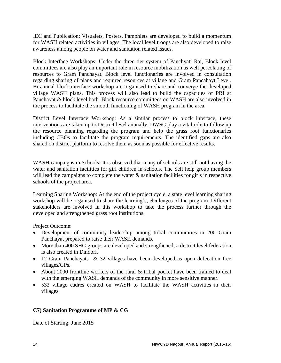IEC and Publication: Visualets, Posters, Pamphlets are developed to build a momentum for WASH related activities in villages. The local level troops are also developed to raise awareness among people on water and sanitation related issues.

Block Interface Workshops: Under the three tier system of Panchyati Raj, Block level committees are also play an important role in resource mobilization as well percolating of resources to Gram Panchayat. Block level functionaries are involved in consultation regarding sharing of plans and required resources at village and Gram Pancahayt Level. Bi-annual block interface workshop are organised to share and converge the developed village WASH plans. This process will also lead to build the capacities of PRI at Panchayat & block level both. Block resource committees on WASH are also involved in the process to facilitate the smooth functioning of WASH program in the area.

District Level Interface Workshop: As a similar process to block interface, these interventions are taken up to District level annually. DWSC play a vital role to follow up the resource planning regarding the program and help the grass root functionaries including CBOs to facilitate the program requirements. The identified gaps are also shared on district platform to resolve them as soon as possible for effective results.

WASH campaigns in Schools: It is observed that many of schools are still not having the water and sanitation facilities for girl children in schools. The Self help group members will lead the campaigns to complete the water  $\&$  sanitation facilities for girls in respective schools of the project area.

Learning Sharing Workshop: At the end of the project cycle, a state level learning sharing workshop will be organised to share the learning's, challenges of the program. Different stakeholders are involved in this workshop to take the process further through the developed and strengthened grass root institutions.

Project Outcome:

- Development of community leadership among tribal communities in 200 Gram Panchayat prepared to raise their WASH demands.
- More than 400 SHG groups are developed and strengthened; a district level federation is also created in Dindori.
- 12 Gram Panchayats & 32 villages have been developed as open defecation free villages/GPs.
- About 2000 frontline workers of the rural & tribal pocket have been trained to deal with the emerging WASH demands of the community in more sensitive manner.
- 532 village cadres created on WASH to facilitate the WASH activities in their villages.

# <span id="page-23-0"></span>**C7) Sanitation Programme of MP & CG**

Date of Starting: June 2015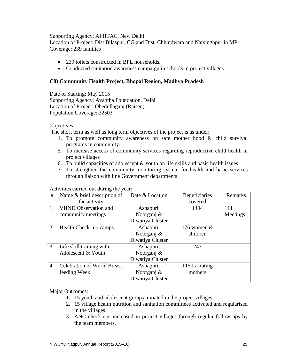#### Supporting Agency: AFHTAC, New Delhi

Location of Project: Dist Bilaspur, CG and Dist. Chhindwara and Narsinghpur in MP Coverage: 239 families

- 239 toilets constructed in BPL households.
- Conducted sanitation awareness campaign in schools in project villages

#### <span id="page-24-0"></span>**C8) Community Health Project, Bhopal Region, Madhya Pradesh**

Date of Starting: May 2015 Supporting Agency: Avantha Foundation, Delhi Location of Project: Obedullaganj (Raisen) Population Coverage: 22503

Objectives:

The short term as well as long term objectives of the project is as under;

- 4. To promote community awareness on safe mother hood & child survival programs in community.
- 5. To increase access of community services regarding reproductive child health in project villages
- 6. To build capacities of adolescent  $\&$  youth on life skills and basic health issues
- 7. To strengthen the community monitoring system for health and basic services through liaison with line Government departments

| #              | Name & brief description of        | Date & Location  | <b>Beneficiaries</b> | Remarks  |
|----------------|------------------------------------|------------------|----------------------|----------|
|                | the activity                       |                  | covered              |          |
| $\overline{1}$ | <b>VHND Observation and</b>        | Ashapuri,        | 1494                 | 111      |
|                | community meetings                 | Noorganj &       |                      | Meetings |
|                |                                    | Diwatiya Cluster |                      |          |
| $\overline{2}$ | Health Check- up camps             | Ashapuri,        | 176 women $\&$       |          |
|                |                                    | Noorganj &       | children             |          |
|                |                                    | Diwatiya Cluster |                      |          |
| 3              | Life skill training with           | Ashapuri,        | 243                  |          |
|                | Adolescent & Youth                 | Noorganj &       |                      |          |
|                |                                    | Diwatiya Cluster |                      |          |
| $\overline{4}$ | <b>Celebration of World Breast</b> | Ashapuri,        | 115 Lactating        |          |
|                | feeding Week                       | Noorganj &       | mothers              |          |
|                |                                    | Diwatiya Cluster |                      |          |

#### Activities carried out during the year:

Major Outcomes:

- 1. 15 youth and adolescent groups initiated in the project villages.
- 2. 15 village health nutrition and sanitation committees activated and regularised in the villages.
- 3. ANC check-ups increased in project villages through regular follow ups by the team members.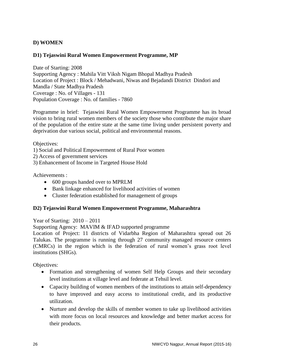# <span id="page-25-0"></span>**D) WOMEN**

#### <span id="page-25-1"></span>**D1) Tejaswini Rural Women Empowerment Programme, MP**

Date of Starting: 2008 Supporting Agency : Mahila Vitt Viksh Nigam Bhopal Madhya Pradesh Location of Project : Block / Mehadwani, Niwas and Bejadandi District Dindori and Mandla / State Madhya Pradesh Coverage : No. of Villages - 131 Population Coverage : No. of families - 7860

Programme in brief: Tejaswini Rural Women Empowerment Programme has its broad vision to bring rural women members of the society those who contribute the major share of the population of the entire state at the same time living under persistent poverty and deprivation due various social, political and environmental reasons.

Objectives:

- 1) Social and Political Empowerment of Rural Poor women
- 2) Access of government services
- 3) Enhancement of Income in Targeted House Hold

Achievements :

- 600 groups handed over to MPRLM
- Bank linkage enhanced for livelihood activities of women
- Cluster federation established for management of groups

#### <span id="page-25-2"></span>**D2) Tejaswini Rural Women Empowerment Programme, Maharashtra**

Year of Starting: 2010 – 2011

Supporting Agency: MAVIM & IFAD supported programme

Location of Project: 11 districts of Vidarbha Region of Maharashtra spread out 26 Talukas. The programme is running through 27 community managed resource centers (CMRCs) in the region which is the federation of rural women's grass root level institutions (SHGs).

- Formation and strengthening of women Self Help Groups and their secondary level institutions at village level and federate at Tehsil level.
- Capacity building of women members of the institutions to attain self-dependency to have improved and easy access to institutional credit, and its productive utilization.
- Nurture and develop the skills of member women to take up livelihood activities with more focus on local resources and knowledge and better market access for their products.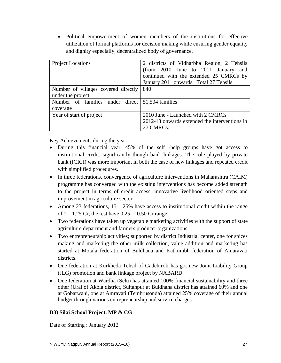Political empowerment of women members of the institutions for effective utilization of formal platforms for decision making while ensuring gender equality and dignity especially, decentralized body of governance.

| <b>Project Locations</b>                                    | 2 districts of Vidharbha Region, 2 Tehsils<br>(from 2010 June to 2011 January and<br>continued with the extended 25 CMRCs by<br>January 2011 onwards. Total 27 Tehsils |
|-------------------------------------------------------------|------------------------------------------------------------------------------------------------------------------------------------------------------------------------|
| Number of villages covered directly<br>under the project    | 840                                                                                                                                                                    |
| Number of families under direct 51,504 families<br>coverage |                                                                                                                                                                        |
| Year of start of project                                    | 2010 June - Launched with 2 CMRCs                                                                                                                                      |
|                                                             | 2012-13 onwards extended the interventions in                                                                                                                          |
|                                                             | 27 CMRCs.                                                                                                                                                              |

Key Achievements during the year:

- During this financial year, 45% of the self -help groups have got access to institutional credit, significantly though bank linkages. The role played by private bank (ICICI) was more important in both the case of new linkages and repeated credit with simplified procedures.
- In three federations, convergence of agriculture interventions in Maharashtra (CAIM) programme has converged with the existing interventions has become added strength to the project in terms of credit access, innovative livelihood oriented steps and improvement in agriculture sector.
- Among 23 federations,  $15 25\%$  have access to institutional credit within the range of  $1 - 1.25$  Cr, the rest have  $0.25 - 0.50$  Cr range.
- Two federations have taken up vegetable marketing activities with the support of state agriculture department and farmers producer organizations.
- Two entrepreneurship activities; supported by district Industrial center, one for spices making and marketing the other milk collection, value addition and marketing has started at Motala federation of Buldhana and Katkumbh federation of Amaravati districts.
- One federation at Kurkheda Tehsil of Gadchiroli has got new Joint Liability Group (JLG) promotion and bank linkage project by NABARD.
- One federation at Wardha (Selu) has attained 100% financial sustainability and three other (Ural of Akola district, Sultanpur at Buldhana district has attained 60% and one at Gobarwahi, one at Amravati (Tembrusonda) attained 25% coverage of their annual budget through various entrepreneurship and service charges.

# <span id="page-26-0"></span>**D3) Silai School Project, MP & CG**

Date of Starting : January 2012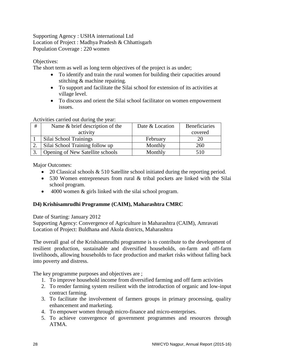Supporting Agency : USHA international Ltd Location of Project : Madhya Pradesh & Chhattisgarh Population Coverage : 220 women

Objectives:

The short term as well as long term objectives of the project is as under;

- To identify and train the rural women for building their capacities around stitching & machine repairing.
- To support and facilitate the Silai school for extension of its activities at village level.
- To discuss and orient the Silai school facilitator on women empowerment issues.

Activities carried out during the year:

| # | Name & brief description of the  | Date & Location | <b>Beneficiaries</b> |
|---|----------------------------------|-----------------|----------------------|
|   | activity                         |                 | covered              |
|   | Silai School Trainings           | February        |                      |
|   | Silai School Training follow up  | Monthly         | 260                  |
|   | Opening of New Satellite schools | Monthly         | 510                  |

Major Outcomes:

- 20 Classical schools & 510 Satellite school initiated during the reporting period.
- 530 Women entrepreneurs from rural & tribal pockets are linked with the Silai school program.
- 4000 women & girls linked with the silai school program.

# <span id="page-27-0"></span>**D4) Krishisamrudhi Programme (CAIM), Maharashtra CMRC**

Date of Starting: January 2012

Supporting Agency: Convergence of Agriculture in Maharashtra (CAIM), Amravati Location of Project: Buldhana and Akola districts, Maharashtra

The overall goal of the Krishisamrudhi programme is to contribute to the development of resilient production, sustainable and diversified households, on-farm and off-farm livelihoods, allowing households to face production and market risks without falling back into poverty and distress.

The key programme purposes and objectives are ;

- 1. To improve household income from diversified farming and off farm activities
- 2. To render farming system resilient with the introduction of organic and low-input contract farming.
- 3. To facilitate the involvement of farmers groups in primary processing, quality enhancement and marketing.
- 4. To empower women through micro-finance and micro-enterprises.
- 5. To achieve convergence of government programmes and resources through ATMA.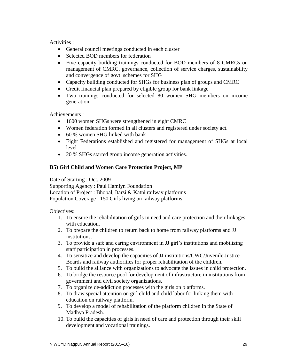Activities :

- General council meetings conducted in each cluster
- Selected BOD members for federation
- Five capacity building trainings conducted for BOD members of 8 CMRCs on management of CMRC, governance, collection of service charges, sustainability and convergence of govt. schemes for SHG
- Capacity building conducted for SHGs for business plan of groups and CMRC
- Credit financial plan prepared by eligible group for bank linkage
- Two trainings conducted for selected 80 women SHG members on income generation.

Achievements :

- 1600 women SHGs were strengthened in eight CMRC
- Women federation formed in all clusters and registered under society act.
- 60 % women SHG linked with bank
- Eight Federations established and registered for management of SHGs at local level
- 20 % SHGs started group income generation activities.

# <span id="page-28-0"></span>**D5) Girl Child and Women Care Protection Project, MP**

Date of Starting : Oct. 2009

Supporting Agency : Paul Hamlyn Foundation Location of Project : Bhopal, Itarsi & Katni railway platforms Population Coverage : 150 Girls living on railway platforms

- 1. To ensure the rehabilitation of girls in need and care protection and their linkages with education.
- 2. To prepare the children to return back to home from railway platforms and JJ institutions.
- 3. To provide a safe and caring environment in JJ girl's institutions and mobilizing staff participation in processes.
- 4. To sensitize and develop the capacities of JJ institutions/CWC/Juvenile Justice Boards and railway authorities for proper rehabilitation of the children.
- 5. To build the alliance with organizations to advocate the issues in child protection.
- 6. To bridge the resource pool for development of infrastructure in institutions from government and civil society organizations.
- 7. To organize de-addiction processes with the girls on platforms.
- 8. To draw special attention on girl child and child labor for linking them with education on railway platform.
- 9. To develop a model of rehabilitation of the platform children in the State of Madhya Pradesh.
- 10. To build the capacities of girls in need of care and protection through their skill development and vocational trainings.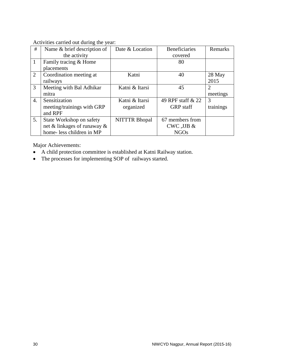#### Activities carried out during the year:

| #              | Name & brief description of    | Date & Location      | <b>Beneficiaries</b> | Remarks        |
|----------------|--------------------------------|----------------------|----------------------|----------------|
|                | the activity                   |                      | covered              |                |
| $\mathbf{1}$   | Family tracing & Home          |                      | 80                   |                |
|                | placements                     |                      |                      |                |
| $\overline{2}$ | Coordination meeting at        | Katni                | 40                   | 28 May         |
|                | railways                       |                      |                      | 2015           |
| 3              | Meeting with Bal Adhikar       | Katni & Itarsi       | 45                   | $\overline{2}$ |
|                | mitra                          |                      |                      | meetings       |
| 4.             | Sensitization                  | Katni & Itarsi       | 49 RPF staff & 22    | 3              |
|                | meeting/trainings with GRP     | organized            | <b>GRP</b> staff     | trainings      |
|                | and RPF                        |                      |                      |                |
| 5.             | State Workshop on safety       | <b>NITTTR Bhopal</b> | 67 members from      |                |
|                | net & linkages of runaway $\&$ |                      | $CWC$ , JJB $\&$     |                |
|                | home-less children in MP       |                      | <b>NGOs</b>          |                |

Major Achievements:

- A child protection committee is established at Katni Railway station.
- The processes for implementing SOP of railways started.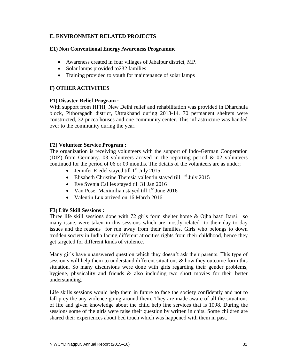# <span id="page-30-0"></span>**E. ENVIRONMENT RELATED PROJECTS**

#### <span id="page-30-1"></span>**E1) Non Conventional Energy Awareness Programme**

- Awareness created in four villages of Jabalpur district, MP.
- Solar lamps provided to 232 families
- Training provided to youth for maintenance of solar lamps

#### <span id="page-30-2"></span>**F) OTHER ACTIVITIES**

#### <span id="page-30-3"></span>**F1) Disaster Relief Program :**

With support from HFHI, New Delhi relief and rehabilitation was provided in Dharchula block, Pithoragadh district, Uttrakhand during 2013-14. 70 permanent shelters were constructed, 32 pucca houses and one community center. This infrastructure was handed over to the community during the year.

#### <span id="page-30-4"></span>**F2) Volunteer Service Program :**

The organization is receiving volunteers with the support of Indo-German Cooperation (DIZ) from Germany. 03 volunteers arrived in the reporting period & 02 volunteers continued for the period of 06 or 09 months. The details of the volunteers are as under;

- Jennifer Riedel stayed till  $1<sup>st</sup>$  July 2015
- Elisabeth Christine Theresia vallentin stayed till  $1<sup>st</sup>$  July 2015
- Eve Svenja Callies stayed till 31 Jan 2016
- Van Poser Maximilian stayed till  $1<sup>st</sup>$  June 2016
- Valentin Lux arrived on 16 March 2016

#### <span id="page-30-5"></span>**F3) Life Skill Sessions :**

Three life skill sessions done with 72 girls form shelter home & Ojha basti Itarsi. so many issue, were taken in this sessions which are mostly related to their day to day issues and the reasons for run away from their families. Girls who belongs to down trodden society in India facing different atrocities rights from their childhood, hence they get targeted for different kinds of violence.

Many girls have unanswered question which they doesn't ask their parents. This type of session s will help them to understand different situations  $\&$  how they outcome form this situation. So many discursions were done with girls regarding their gender problems, hygiene, physicality and friends & also including two short movies for their better understanding.

Life skills sessions would help them in future to face the society confidently and not to fall prey the any violence going around them. They are made aware of all the situations of life and given knowledge about the child help line services that is 1098. During the sessions some of the girls were raise their question by written in chits. Some children are shared their experiences about bed touch which was happened with them in past.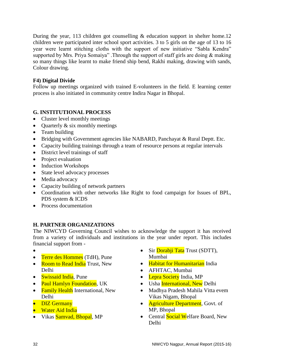During the year, 113 children got counselling  $\&$  education support in shelter home.12 children were participated inter school sport activities. 3 to 5 girls on the age of 13 to 16 year were learnt stitching cloths with the support of new initiative "Sabla Kendra" supported by Mrs. Priya Somaiya" .Through the support of staff girls are doing & making so many things like learnt to make friend ship bend, Rakhi making, drawing with sands, Colour drawing.

#### <span id="page-31-0"></span>**F4) Digital Divide**

Follow up meetings organized with trained E-volunteers in the field. E learning center process is also initiated in community centre Indira Nagar in Bhopal.

# <span id="page-31-1"></span>**G. INSTITUTIONAL PROCESS**

- Cluster level monthly meetings
- Quarterly  $&$  six monthly meetings
- Team building
- Bridging with Government agencies like NABARD, Panchayat & Rural Deptt. Etc.
- Capacity building trainings through a team of resource persons at regular intervals
- District level trainings of staff
- Project evaluation
- Induction Workshops
- State level advocacy processes
- Media advocacy
- Capacity building of network partners
- Coordination with other networks like Right to food campaign for Issues of BPL, PDS system & ICDS
- Process documentation

# <span id="page-31-2"></span>**H. PARTNER ORGANIZATIONS**

The NIWCYD Governing Council wishes to acknowledge the support it has received from a variety of individuals and institutions in the year under report. This includes financial support from -

- $\bullet$
- Terre des Hommes (TdH), Pune
- Room to Read India Trust, New Delhi
- Swissaid India, Pune
- Paul Hamlyn Foundation, UK
- Family Health International, New Delhi
- DIZ Germany
- Water Aid India
- Vikas Samvad, Bhopal, MP
- Sir Dorabji Tata Trust (SDTT), Mumbai
- Habitat for Humanitarian India
- AFHTAC, Mumbai
- Lepra Society India, MP
- Usha *International*, New Delhi
- Madhya Pradesh Mahila Vitta evem Vikas Nigam, Bhopal
- **Agriculture Department**, Govt. of MP, Bhopal
- Central Social Welfare Board, New Delhi